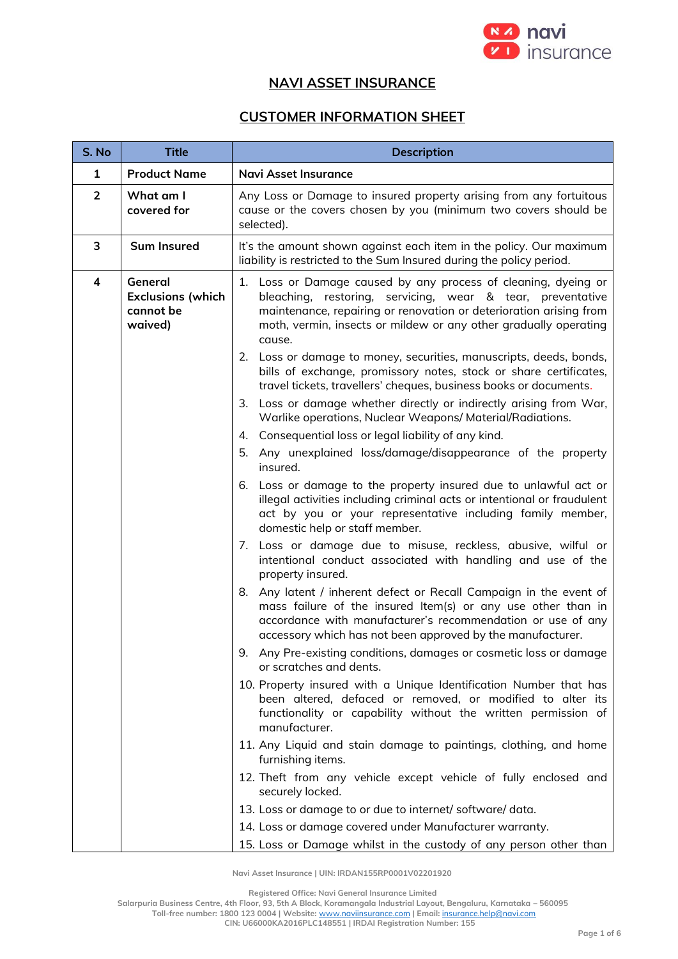

## **NAVI ASSET INSURANCE**

## **CUSTOMER INFORMATION SHEET**

| S. No                   | <b>Title</b>                                                | <b>Description</b>                                                                                                                                                                                                                                                               |  |
|-------------------------|-------------------------------------------------------------|----------------------------------------------------------------------------------------------------------------------------------------------------------------------------------------------------------------------------------------------------------------------------------|--|
| $\mathbf{1}$            | <b>Product Name</b>                                         | <b>Navi Asset Insurance</b>                                                                                                                                                                                                                                                      |  |
| $\overline{2}$          | What am I<br>covered for                                    | Any Loss or Damage to insured property arising from any fortuitous<br>cause or the covers chosen by you (minimum two covers should be<br>selected).                                                                                                                              |  |
| 3                       | <b>Sum Insured</b>                                          | It's the amount shown against each item in the policy. Our maximum<br>liability is restricted to the Sum Insured during the policy period.                                                                                                                                       |  |
| $\overline{\mathbf{4}}$ | General<br><b>Exclusions (which</b><br>cannot be<br>waived) | 1. Loss or Damage caused by any process of cleaning, dyeing or<br>bleaching, restoring, servicing, wear & tear, preventative<br>maintenance, repairing or renovation or deterioration arising from<br>moth, vermin, insects or mildew or any other gradually operating<br>cause. |  |
|                         |                                                             | 2. Loss or damage to money, securities, manuscripts, deeds, bonds,<br>bills of exchange, promissory notes, stock or share certificates,<br>travel tickets, travellers' cheques, business books or documents.                                                                     |  |
|                         |                                                             | 3. Loss or damage whether directly or indirectly arising from War,<br>Warlike operations, Nuclear Weapons/ Material/Radiations.                                                                                                                                                  |  |
|                         |                                                             | 4. Consequential loss or legal liability of any kind.                                                                                                                                                                                                                            |  |
|                         |                                                             | 5.<br>Any unexplained loss/damage/disappearance of the property<br>insured.                                                                                                                                                                                                      |  |
|                         |                                                             | 6. Loss or damage to the property insured due to unlawful act or<br>illegal activities including criminal acts or intentional or fraudulent<br>act by you or your representative including family member,<br>domestic help or staff member.                                      |  |
|                         |                                                             | 7. Loss or damage due to misuse, reckless, abusive, wilful or<br>intentional conduct associated with handling and use of the<br>property insured.                                                                                                                                |  |
|                         |                                                             | 8. Any latent / inherent defect or Recall Campaign in the event of<br>mass failure of the insured Item(s) or any use other than in<br>accordance with manufacturer's recommendation or use of any<br>accessory which has not been approved by the manufacturer.                  |  |
|                         |                                                             | Any Pre-existing conditions, damages or cosmetic loss or damage<br>9.<br>or scratches and dents.                                                                                                                                                                                 |  |
|                         |                                                             | 10. Property insured with a Unique Identification Number that has<br>been altered, defaced or removed, or modified to alter its<br>functionality or capability without the written permission of<br>manufacturer.                                                                |  |
|                         |                                                             | 11. Any Liquid and stain damage to paintings, clothing, and home<br>furnishing items.                                                                                                                                                                                            |  |
|                         |                                                             | 12. Theft from any vehicle except vehicle of fully enclosed and<br>securely locked.                                                                                                                                                                                              |  |
|                         |                                                             | 13. Loss or damage to or due to internet/ software/ data.                                                                                                                                                                                                                        |  |
|                         |                                                             | 14. Loss or damage covered under Manufacturer warranty.                                                                                                                                                                                                                          |  |
|                         |                                                             | 15. Loss or Damage whilst in the custody of any person other than                                                                                                                                                                                                                |  |

**Navi Asset Insurance | UIN: IRDAN155RP0001V02201920**

**Registered Office: Navi General Insurance Limited**

**Salarpuria Business Centre, 4th Floor, 93, 5th A Block, Koramangala Industrial Layout, Bengaluru, Karnataka – 560095**

**Toll-free number: 1800 123 0004 | Website:** [www.naviinsurance.com](http://www.naviinsurance.com/) **| Email:** [insurance.help@navi.com](mailto:insurance.help@navi.com)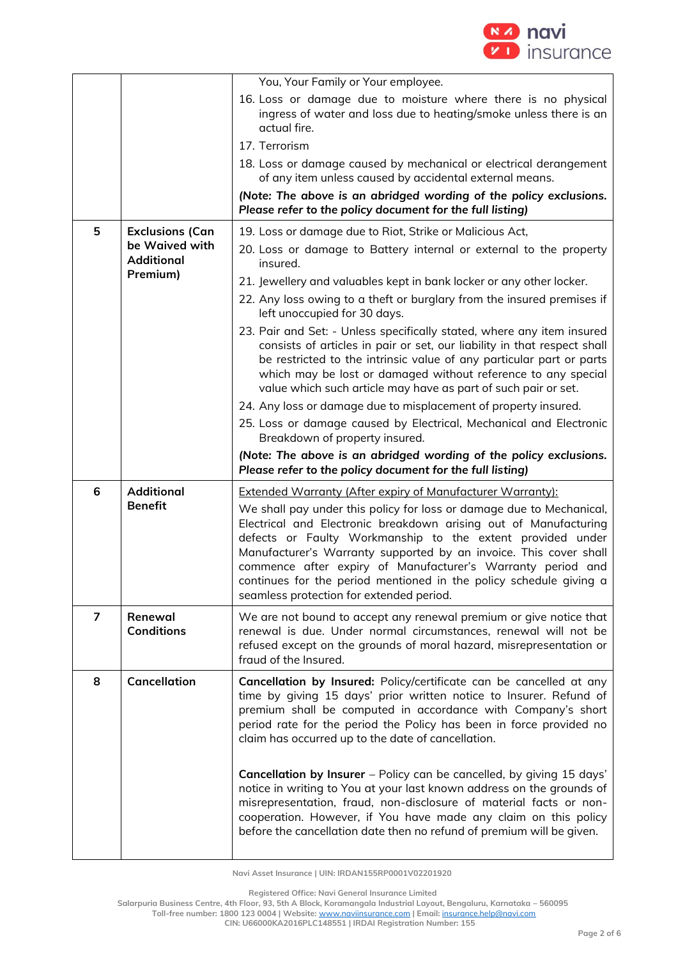

|                 |                                                                           | You, Your Family or Your employee.                                                                                                                                                                                                                                                                                                                                                                                                                                                                                                |
|-----------------|---------------------------------------------------------------------------|-----------------------------------------------------------------------------------------------------------------------------------------------------------------------------------------------------------------------------------------------------------------------------------------------------------------------------------------------------------------------------------------------------------------------------------------------------------------------------------------------------------------------------------|
|                 |                                                                           | 16. Loss or damage due to moisture where there is no physical<br>ingress of water and loss due to heating/smoke unless there is an<br>actual fire.                                                                                                                                                                                                                                                                                                                                                                                |
|                 |                                                                           | 17. Terrorism                                                                                                                                                                                                                                                                                                                                                                                                                                                                                                                     |
|                 |                                                                           | 18. Loss or damage caused by mechanical or electrical derangement<br>of any item unless caused by accidental external means.                                                                                                                                                                                                                                                                                                                                                                                                      |
|                 |                                                                           | (Note: The above is an abridged wording of the policy exclusions.<br>Please refer to the policy document for the full listing)                                                                                                                                                                                                                                                                                                                                                                                                    |
| 5               | <b>Exclusions (Can</b><br>be Waived with<br><b>Additional</b><br>Premium) | 19. Loss or damage due to Riot, Strike or Malicious Act,                                                                                                                                                                                                                                                                                                                                                                                                                                                                          |
|                 |                                                                           | 20. Loss or damage to Battery internal or external to the property<br>insured.                                                                                                                                                                                                                                                                                                                                                                                                                                                    |
|                 |                                                                           | 21. Jewellery and valuables kept in bank locker or any other locker.                                                                                                                                                                                                                                                                                                                                                                                                                                                              |
|                 |                                                                           | 22. Any loss owing to a theft or burglary from the insured premises if<br>left unoccupied for 30 days.                                                                                                                                                                                                                                                                                                                                                                                                                            |
|                 |                                                                           | 23. Pair and Set: - Unless specifically stated, where any item insured<br>consists of articles in pair or set, our liability in that respect shall<br>be restricted to the intrinsic value of any particular part or parts<br>which may be lost or damaged without reference to any special<br>value which such article may have as part of such pair or set.                                                                                                                                                                     |
|                 |                                                                           | 24. Any loss or damage due to misplacement of property insured.                                                                                                                                                                                                                                                                                                                                                                                                                                                                   |
|                 |                                                                           | 25. Loss or damage caused by Electrical, Mechanical and Electronic<br>Breakdown of property insured.                                                                                                                                                                                                                                                                                                                                                                                                                              |
|                 |                                                                           | (Note: The above is an abridged wording of the policy exclusions.<br>Please refer to the policy document for the full listing)                                                                                                                                                                                                                                                                                                                                                                                                    |
| $6\phantom{1}6$ | <b>Additional</b><br><b>Benefit</b>                                       | <b>Extended Warranty (After expiry of Manufacturer Warranty):</b><br>We shall pay under this policy for loss or damage due to Mechanical,<br>Electrical and Electronic breakdown arising out of Manufacturing<br>defects or Faulty Workmanship to the extent provided under<br>Manufacturer's Warranty supported by an invoice. This cover shall<br>commence after expiry of Manufacturer's Warranty period and<br>continues for the period mentioned in the policy schedule giving a<br>seamless protection for extended period. |
| 7               | Renewal<br><b>Conditions</b>                                              | We are not bound to accept any renewal premium or give notice that<br>renewal is due. Under normal circumstances, renewal will not be<br>refused except on the grounds of moral hazard, misrepresentation or<br>fraud of the Insured.                                                                                                                                                                                                                                                                                             |
| 8               | <b>Cancellation</b>                                                       | Cancellation by Insured: Policy/certificate can be cancelled at any<br>time by giving 15 days' prior written notice to Insurer. Refund of<br>premium shall be computed in accordance with Company's short<br>period rate for the period the Policy has been in force provided no<br>claim has occurred up to the date of cancellation.                                                                                                                                                                                            |
|                 |                                                                           | Cancellation by Insurer - Policy can be cancelled, by giving 15 days'<br>notice in writing to You at your last known address on the grounds of<br>misrepresentation, fraud, non-disclosure of material facts or non-<br>cooperation. However, if You have made any claim on this policy<br>before the cancellation date then no refund of premium will be given.                                                                                                                                                                  |

**Registered Office: Navi General Insurance Limited**

**Salarpuria Business Centre, 4th Floor, 93, 5th A Block, Koramangala Industrial Layout, Bengaluru, Karnataka – 560095**

**Toll-free number: 1800 123 0004 | Website:** [www.naviinsurance.com](http://www.naviinsurance.com/) **| Email:** [insurance.help@navi.com](mailto:insurance.help@navi.com)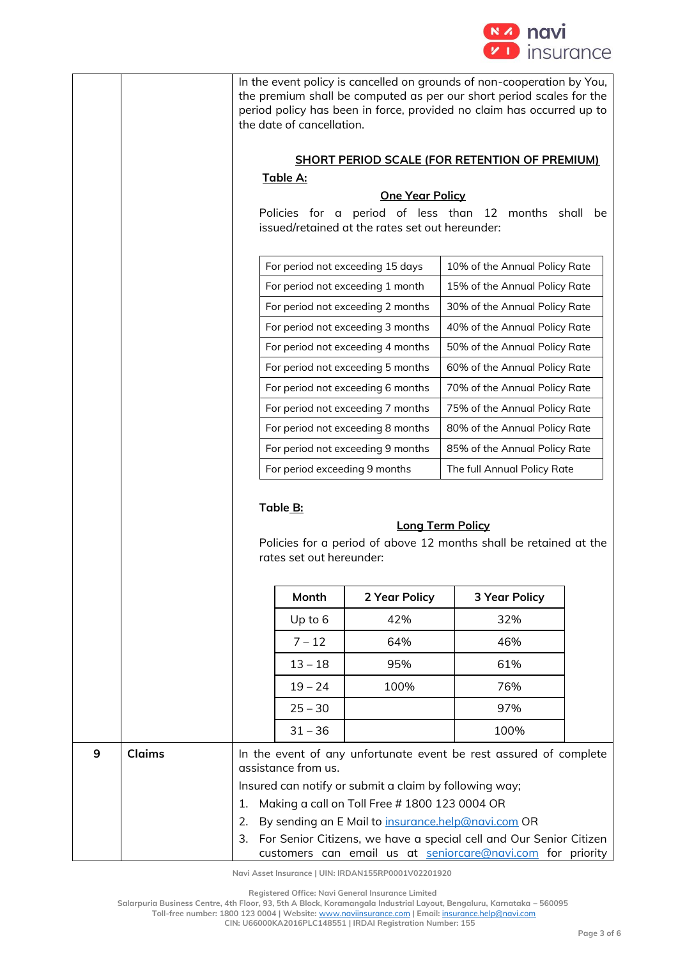

|   |        |                                                                                                                | the date of cancellation.     |                                                                                                         | In the event policy is cancelled on grounds of non-cooperation by You,<br>the premium shall be computed as per our short period scales for the<br>period policy has been in force, provided no claim has occurred up to                                     |  |
|---|--------|----------------------------------------------------------------------------------------------------------------|-------------------------------|---------------------------------------------------------------------------------------------------------|-------------------------------------------------------------------------------------------------------------------------------------------------------------------------------------------------------------------------------------------------------------|--|
|   |        |                                                                                                                |                               |                                                                                                         | <b>SHORT PERIOD SCALE (FOR RETENTION OF PREMIUM)</b>                                                                                                                                                                                                        |  |
|   |        |                                                                                                                | Table A:                      |                                                                                                         |                                                                                                                                                                                                                                                             |  |
|   |        |                                                                                                                |                               | <b>One Year Policy</b>                                                                                  |                                                                                                                                                                                                                                                             |  |
|   |        | Policies for a period of less than<br>12 months shall<br>be<br>issued/retained at the rates set out hereunder: |                               |                                                                                                         |                                                                                                                                                                                                                                                             |  |
|   |        |                                                                                                                |                               | For period not exceeding 15 days                                                                        | 10% of the Annual Policy Rate                                                                                                                                                                                                                               |  |
|   |        |                                                                                                                |                               | For period not exceeding 1 month                                                                        | 15% of the Annual Policy Rate                                                                                                                                                                                                                               |  |
|   |        |                                                                                                                |                               | For period not exceeding 2 months                                                                       | 30% of the Annual Policy Rate                                                                                                                                                                                                                               |  |
|   |        |                                                                                                                |                               | For period not exceeding 3 months                                                                       | 40% of the Annual Policy Rate                                                                                                                                                                                                                               |  |
|   |        |                                                                                                                |                               | For period not exceeding 4 months                                                                       | 50% of the Annual Policy Rate                                                                                                                                                                                                                               |  |
|   |        |                                                                                                                |                               | For period not exceeding 5 months                                                                       | 60% of the Annual Policy Rate                                                                                                                                                                                                                               |  |
|   |        |                                                                                                                |                               | For period not exceeding 6 months                                                                       | 70% of the Annual Policy Rate                                                                                                                                                                                                                               |  |
|   |        |                                                                                                                |                               | For period not exceeding 7 months                                                                       | 75% of the Annual Policy Rate                                                                                                                                                                                                                               |  |
|   |        |                                                                                                                |                               | For period not exceeding 8 months                                                                       | 80% of the Annual Policy Rate                                                                                                                                                                                                                               |  |
|   |        |                                                                                                                |                               | For period not exceeding 9 months                                                                       | 85% of the Annual Policy Rate                                                                                                                                                                                                                               |  |
|   |        |                                                                                                                | For period exceeding 9 months |                                                                                                         | The full Annual Policy Rate                                                                                                                                                                                                                                 |  |
|   |        |                                                                                                                | Table B:                      |                                                                                                         | <b>Long Term Policy</b>                                                                                                                                                                                                                                     |  |
|   |        |                                                                                                                | rates set out hereunder:      |                                                                                                         | Policies for a period of above 12 months shall be retained at the                                                                                                                                                                                           |  |
|   |        |                                                                                                                |                               |                                                                                                         |                                                                                                                                                                                                                                                             |  |
|   |        |                                                                                                                | Month                         | 2 Year Policy                                                                                           | <b>3 Year Policy</b>                                                                                                                                                                                                                                        |  |
|   |        |                                                                                                                | Up to 6                       | 42%                                                                                                     | 32%                                                                                                                                                                                                                                                         |  |
|   |        |                                                                                                                | $7 - 12$                      | 64%                                                                                                     | 46%                                                                                                                                                                                                                                                         |  |
|   |        |                                                                                                                | $13 - 18$                     | 95%                                                                                                     | 61%                                                                                                                                                                                                                                                         |  |
|   |        |                                                                                                                | $19 - 24$                     | 100%                                                                                                    | 76%                                                                                                                                                                                                                                                         |  |
|   |        |                                                                                                                | $25 - 30$                     |                                                                                                         | 97%                                                                                                                                                                                                                                                         |  |
|   |        |                                                                                                                | $31 - 36$                     |                                                                                                         | 100%                                                                                                                                                                                                                                                        |  |
| 9 | Claims | 1.<br>2.<br>3.                                                                                                 | assistance from us.           | Insured can notify or submit a claim by following way;<br>Making a call on Toll Free # 1800 123 0004 OR | In the event of any unfortunate event be rest assured of complete<br>By sending an E Mail to insurance.help@navi.com OR<br>For Senior Citizens, we have a special cell and Our Senior Citizen<br>customers can email us at seniorcare@navi.com for priority |  |
|   |        |                                                                                                                |                               |                                                                                                         |                                                                                                                                                                                                                                                             |  |

**Registered Office: Navi General Insurance Limited**

**Salarpuria Business Centre, 4th Floor, 93, 5th A Block, Koramangala Industrial Layout, Bengaluru, Karnataka – 560095**

**Toll-free number: 1800 123 0004 | Website:** [www.naviinsurance.com](http://www.naviinsurance.com/) **| Email:** [insurance.help@navi.com](mailto:insurance.help@navi.com)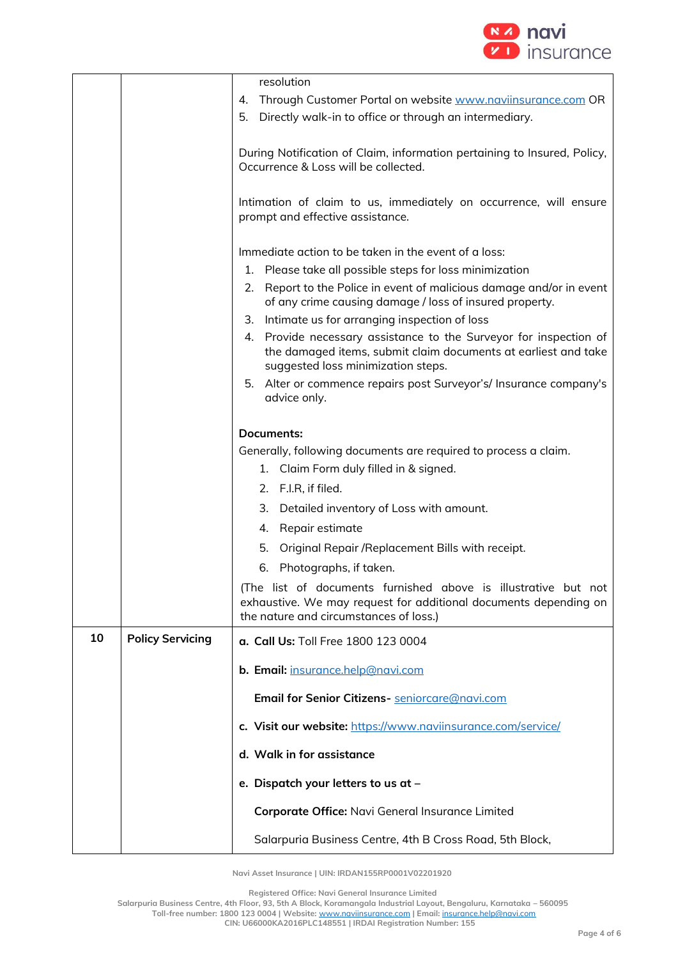

|    |                         | resolution                                                                                                                                                                   |  |
|----|-------------------------|------------------------------------------------------------------------------------------------------------------------------------------------------------------------------|--|
|    |                         | Through Customer Portal on website www.naviinsurance.com OR<br>4.                                                                                                            |  |
|    |                         | 5. Directly walk-in to office or through an intermediary.                                                                                                                    |  |
|    |                         | During Notification of Claim, information pertaining to Insured, Policy,<br>Occurrence & Loss will be collected.                                                             |  |
|    |                         | Intimation of claim to us, immediately on occurrence, will ensure<br>prompt and effective assistance.                                                                        |  |
|    |                         | Immediate action to be taken in the event of a loss:                                                                                                                         |  |
|    |                         | 1. Please take all possible steps for loss minimization                                                                                                                      |  |
|    |                         | Report to the Police in event of malicious damage and/or in event<br>2.<br>of any crime causing damage / loss of insured property.                                           |  |
|    |                         | Intimate us for arranging inspection of loss<br>З.                                                                                                                           |  |
|    |                         | Provide necessary assistance to the Surveyor for inspection of<br>4.<br>the damaged items, submit claim documents at earliest and take<br>suggested loss minimization steps. |  |
|    |                         | Alter or commence repairs post Surveyor's/ Insurance company's<br>5.<br>advice only.                                                                                         |  |
|    |                         |                                                                                                                                                                              |  |
|    |                         | Documents:                                                                                                                                                                   |  |
|    |                         | Generally, following documents are required to process a claim.<br>Claim Form duly filled in & signed.<br>1.                                                                 |  |
|    |                         | 2. F.I.R, if filed.                                                                                                                                                          |  |
|    |                         | 3.<br>Detailed inventory of Loss with amount.                                                                                                                                |  |
|    |                         | Repair estimate<br>4.                                                                                                                                                        |  |
|    |                         | 5.                                                                                                                                                                           |  |
|    |                         | Original Repair / Replacement Bills with receipt.                                                                                                                            |  |
|    |                         | Photographs, if taken.<br>6.                                                                                                                                                 |  |
|    |                         | (The list of documents furnished above is illustrative but not<br>exhaustive. We may request for additional documents depending on<br>the nature and circumstances of loss.) |  |
| 10 | <b>Policy Servicing</b> | a. Call Us: Toll Free 1800 123 0004                                                                                                                                          |  |
|    |                         | b. Email: insurance.help@navi.com                                                                                                                                            |  |
|    |                         | Email for Senior Citizens- seniorcare@navi.com                                                                                                                               |  |
|    |                         | c. Visit our website: https://www.naviinsurance.com/service/                                                                                                                 |  |
|    |                         | d. Walk in for assistance                                                                                                                                                    |  |
|    |                         | e. Dispatch your letters to us at -                                                                                                                                          |  |
|    |                         | Corporate Office: Navi General Insurance Limited                                                                                                                             |  |
|    |                         | Salarpuria Business Centre, 4th B Cross Road, 5th Block,                                                                                                                     |  |

**Registered Office: Navi General Insurance Limited**

**Salarpuria Business Centre, 4th Floor, 93, 5th A Block, Koramangala Industrial Layout, Bengaluru, Karnataka – 560095 Toll-free number: 1800 123 0004 | Website:** [www.naviinsurance.com](http://www.naviinsurance.com/) **| Email:** [insurance.help@navi.com](mailto:insurance.help@navi.com)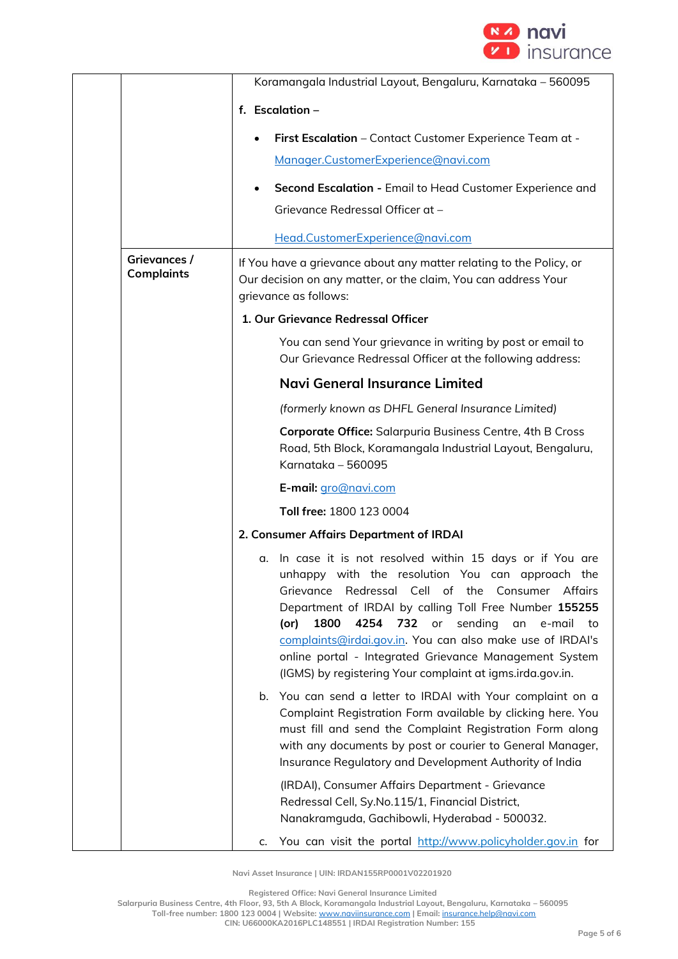

|                                   | Koramangala Industrial Layout, Bengaluru, Karnataka - 560095                                                                                                                                                                                                                                                                                                                                                                                                                                       |  |  |
|-----------------------------------|----------------------------------------------------------------------------------------------------------------------------------------------------------------------------------------------------------------------------------------------------------------------------------------------------------------------------------------------------------------------------------------------------------------------------------------------------------------------------------------------------|--|--|
|                                   | f. Escalation -                                                                                                                                                                                                                                                                                                                                                                                                                                                                                    |  |  |
|                                   | First Escalation - Contact Customer Experience Team at -                                                                                                                                                                                                                                                                                                                                                                                                                                           |  |  |
|                                   | Manager.CustomerExperience@navi.com                                                                                                                                                                                                                                                                                                                                                                                                                                                                |  |  |
|                                   | Second Escalation - Email to Head Customer Experience and                                                                                                                                                                                                                                                                                                                                                                                                                                          |  |  |
|                                   | Grievance Redressal Officer at -                                                                                                                                                                                                                                                                                                                                                                                                                                                                   |  |  |
|                                   | Head.CustomerExperience@navi.com                                                                                                                                                                                                                                                                                                                                                                                                                                                                   |  |  |
| Grievances /<br><b>Complaints</b> | If You have a grievance about any matter relating to the Policy, or<br>Our decision on any matter, or the claim, You can address Your<br>grievance as follows:                                                                                                                                                                                                                                                                                                                                     |  |  |
|                                   | 1. Our Grievance Redressal Officer                                                                                                                                                                                                                                                                                                                                                                                                                                                                 |  |  |
|                                   | You can send Your grievance in writing by post or email to<br>Our Grievance Redressal Officer at the following address:                                                                                                                                                                                                                                                                                                                                                                            |  |  |
|                                   | Navi General Insurance Limited                                                                                                                                                                                                                                                                                                                                                                                                                                                                     |  |  |
|                                   | (formerly known as DHFL General Insurance Limited)                                                                                                                                                                                                                                                                                                                                                                                                                                                 |  |  |
|                                   | Corporate Office: Salarpuria Business Centre, 4th B Cross<br>Road, 5th Block, Koramangala Industrial Layout, Bengaluru,<br>Karnataka - 560095                                                                                                                                                                                                                                                                                                                                                      |  |  |
|                                   | E-mail: gro@navi.com                                                                                                                                                                                                                                                                                                                                                                                                                                                                               |  |  |
|                                   | Toll free: 1800 123 0004                                                                                                                                                                                                                                                                                                                                                                                                                                                                           |  |  |
|                                   | 2. Consumer Affairs Department of IRDAI                                                                                                                                                                                                                                                                                                                                                                                                                                                            |  |  |
|                                   | In case it is not resolved within 15 days or if You are<br>α.<br>unhappy with the resolution You can approach the<br>Redressal Cell of the<br>Consumer<br>Affairs<br>Grievance<br>Department of IRDAI by calling Toll Free Number 155255<br>1800<br>732<br>sending<br>4254<br>or<br>(or)<br>an<br>e-mail<br>to<br>complaints@irdai.gov.in. You can also make use of IRDAI's<br>online portal - Integrated Grievance Management System<br>(IGMS) by registering Your complaint at igms.irda.gov.in. |  |  |
|                                   | You can send a letter to IRDAI with Your complaint on a<br>b.<br>Complaint Registration Form available by clicking here. You<br>must fill and send the Complaint Registration Form along<br>with any documents by post or courier to General Manager,<br>Insurance Regulatory and Development Authority of India                                                                                                                                                                                   |  |  |
|                                   | (IRDAI), Consumer Affairs Department - Grievance<br>Redressal Cell, Sy.No.115/1, Financial District,<br>Nanakramguda, Gachibowli, Hyderabad - 500032.                                                                                                                                                                                                                                                                                                                                              |  |  |
|                                   | You can visit the portal http://www.policyholder.gov.in for<br>c.                                                                                                                                                                                                                                                                                                                                                                                                                                  |  |  |

**Registered Office: Navi General Insurance Limited**

**Salarpuria Business Centre, 4th Floor, 93, 5th A Block, Koramangala Industrial Layout, Bengaluru, Karnataka – 560095 Toll-free number: 1800 123 0004 | Website:** [www.naviinsurance.com](http://www.naviinsurance.com/) **| Email:** [insurance.help@navi.com](mailto:insurance.help@navi.com)